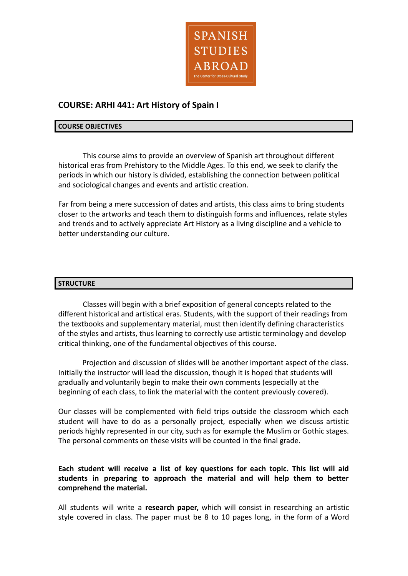

# **COURSE: ARHI 441: Art History of Spain I**

#### **COURSE OBJECTIVES**

This course aims to provide an overview of Spanish art throughout different historical eras from Prehistory to the Middle Ages. To this end, we seek to clarify the periods in which our history is divided, establishing the connection between political and sociological changes and events and artistic creation.

Far from being a mere succession of dates and artists, this class aims to bring students closer to the artworks and teach them to distinguish forms and influences, relate styles and trends and to actively appreciate Art History as a living discipline and a vehicle to better understanding our culture.

### **STRUCTURE**

Classes will begin with a brief exposition of general concepts related to the different historical and artistical eras. Students, with the support of their readings from the textbooks and supplementary material, must then identify defining characteristics of the styles and artists, thus learning to correctly use artistic terminology and develop critical thinking, one of the fundamental objectives of this course.

Projection and discussion of slides will be another important aspect of the class. Initially the instructor will lead the discussion, though it is hoped that students will gradually and voluntarily begin to make their own comments (especially at the beginning of each class, to link the material with the content previously covered).

Our classes will be complemented with field trips outside the classroom which each student will have to do as a personally project, especially when we discuss artistic periods highly represented in our city, such as for example the Muslim or Gothic stages. The personal comments on these visits will be counted in the final grade.

## **Each student will receive a list of key questions for each topic. This list will aid students in preparing to approach the material and will help them to better comprehend the material.**

All students will write a **research paper,** which will consist in researching an artistic style covered in class. The paper must be 8 to 10 pages long, in the form of a Word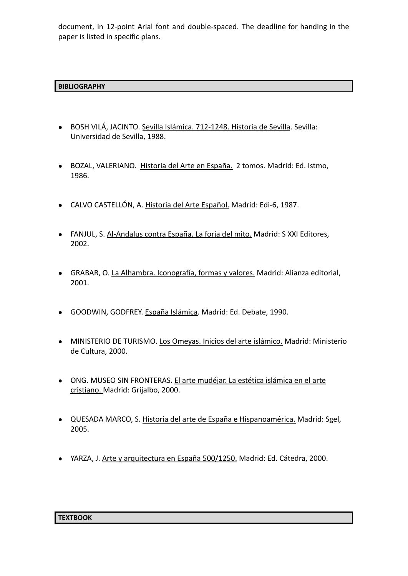document, in 12-point Arial font and double-spaced. The deadline for handing in the paper is listed in specific plans.

## **BIBLIOGRAPHY**

- BOSH VILÁ, JACINTO. Sevilla Islámica. 712-1248. Historia de Sevilla. Sevilla: Universidad de Sevilla, 1988.
- BOZAL, VALERIANO. Historia del Arte en España. 2 tomos. Madrid: Ed. Istmo, 1986.
- CALVO CASTELLÓN, A. Historia del Arte Español. Madrid: Edi-6, 1987.
- FANJUL, S. Al-Andalus contra España. La forja del mito. Madrid: S XXI Editores, 2002.
- GRABAR, O. La Alhambra. Iconografía, formas y valores. Madrid: Alianza editorial, 2001.
- GOODWIN, GODFREY. España Islámica. Madrid: Ed. Debate, 1990.
- MINISTERIO DE TURISMO. Los Omeyas. Inicios del arte islámico. Madrid: Ministerio de Cultura, 2000.
- ONG. MUSEO SIN FRONTERAS. El arte mudéjar. La estética islámica en el arte cristiano. Madrid: Grijalbo, 2000.
- QUESADA MARCO, S. Historia del arte de España e Hispanoamérica. Madrid: Sgel, 2005.
- YARZA, J. Arte y arquitectura en España 500/1250. Madrid: Ed. Cátedra, 2000.

#### **TEXTBOOK**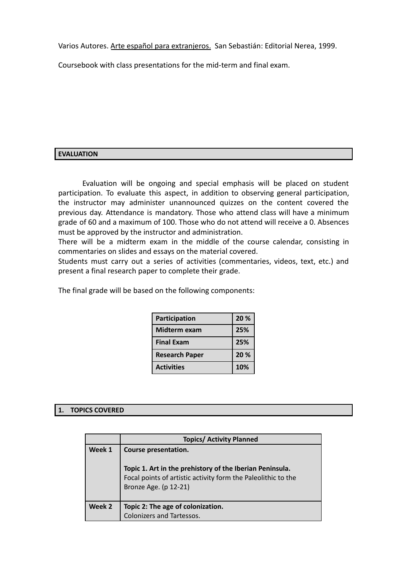Varios Autores. Arte español para extranjeros. San Sebastián: Editorial Nerea, 1999.

Coursebook with class presentations for the mid-term and final exam.

## **EVALUATION**

Evaluation will be ongoing and special emphasis will be placed on student participation. To evaluate this aspect, in addition to observing general participation, the instructor may administer unannounced quizzes on the content covered the previous day. Attendance is mandatory. Those who attend class will have a minimum grade of 60 and a maximum of 100. Those who do not attend will receive a 0. Absences must be approved by the instructor and administration.

There will be a midterm exam in the middle of the course calendar, consisting in commentaries on slides and essays on the material covered.

Students must carry out a series of activities (commentaries, videos, text, etc.) and present a final research paper to complete their grade.

| Participation         | 20 % |
|-----------------------|------|
| Midterm exam          | 25%  |
| <b>Final Exam</b>     | 25%  |
| <b>Research Paper</b> | 20%  |
| <b>Activities</b>     | 10%  |

The final grade will be based on the following components:

### **1. TOPICS COVERED**

|        | <b>Topics/ Activity Planned</b>                                                                                                                                            |
|--------|----------------------------------------------------------------------------------------------------------------------------------------------------------------------------|
| Week 1 | Course presentation.<br>Topic 1. Art in the prehistory of the Iberian Peninsula.<br>Focal points of artistic activity form the Paleolithic to the<br>Bronze Age. (p 12-21) |
| Week 2 | Topic 2: The age of colonization.<br><b>Colonizers and Tartessos.</b>                                                                                                      |